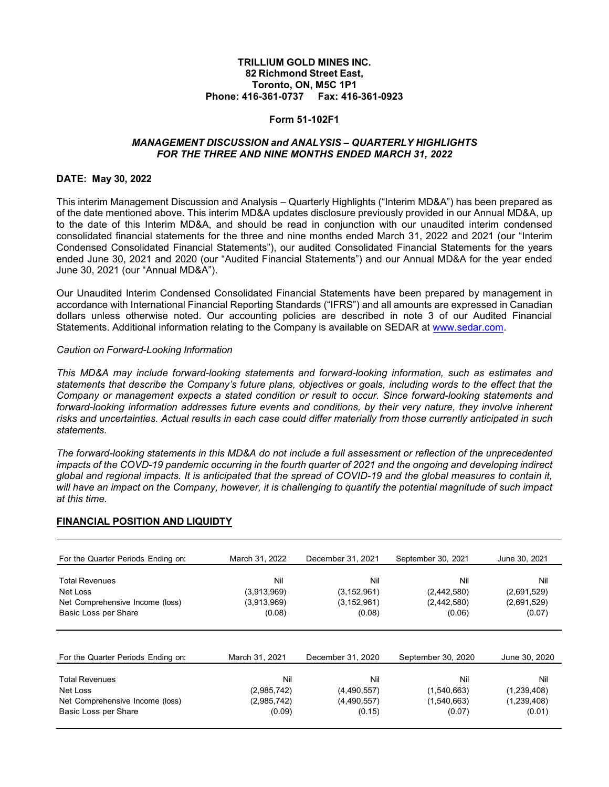## **TRILLIUM GOLD MINES INC. 82 Richmond Street East, Toronto, ON, M5C 1P1 Phone: 416-361-0737 Fax: 416-361-0923**

#### **Form 51-102F1**

## *MANAGEMENT DISCUSSION and ANALYSIS – QUARTERLY HIGHLIGHTS FOR THE THREE AND NINE MONTHS ENDED MARCH 31, 2022*

#### **DATE: May 30, 2022**

This interim Management Discussion and Analysis – Quarterly Highlights ("Interim MD&A") has been prepared as of the date mentioned above. This interim MD&A updates disclosure previously provided in our Annual MD&A, up to the date of this Interim MD&A, and should be read in conjunction with our unaudited interim condensed consolidated financial statements for the three and nine months ended March 31, 2022 and 2021 (our "Interim Condensed Consolidated Financial Statements"), our audited Consolidated Financial Statements for the years ended June 30, 2021 and 2020 (our "Audited Financial Statements") and our Annual MD&A for the year ended June 30, 2021 (our "Annual MD&A").

Our Unaudited Interim Condensed Consolidated Financial Statements have been prepared by management in accordance with International Financial Reporting Standards ("IFRS") and all amounts are expressed in Canadian dollars unless otherwise noted. Our accounting policies are described in note 3 of our Audited Financial Statements. Additional information relating to the Company is available on SEDAR at [www.sedar.com.](http://www.sedar.com/)

#### *Caution on Forward-Looking Information*

*This MD&A may include forward-looking statements and forward-looking information, such as estimates and statements that describe the Company's future plans, objectives or goals, including words to the effect that the Company or management expects a stated condition or result to occur. Since forward-looking statements and forward-looking information addresses future events and conditions, by their very nature, they involve inherent*  risks and uncertainties. Actual results in each case could differ materially from those currently anticipated in such *statements.*

*The forward-looking statements in this MD&A do not include a full assessment or reflection of the unprecedented*  impacts of the COVD-19 pandemic occurring in the fourth quarter of 2021 and the ongoing and developing indirect *global and regional impacts. It is anticipated that the spread of COVID-19 and the global measures to contain it,*  will have an impact on the Company, however, it is challenging to quantify the potential magnitude of such impact *at this time.*

# **FINANCIAL POSITION AND LIQUIDTY**

| For the Quarter Periods Ending on:          | March 31, 2022             | December 31, 2021              | September 30, 2021         | June 30, 2021              |
|---------------------------------------------|----------------------------|--------------------------------|----------------------------|----------------------------|
| <b>Total Revenues</b>                       | Nil                        | Nil                            | Nil                        | Nil                        |
| Net Loss<br>Net Comprehensive Income (loss) | (3,913,969)<br>(3,913,969) | (3, 152, 961)<br>(3, 152, 961) | (2,442,580)<br>(2,442,580) | (2,691,529)<br>(2,691,529) |
| Basic Loss per Share                        | (0.08)                     | (0.08)                         | (0.06)                     | (0.07)                     |
|                                             |                            |                                |                            |                            |
| For the Quarter Periods Ending on:          | March 31, 2021             | December 31, 2020              | September 30, 2020         | June 30, 2020              |
| <b>Total Revenues</b>                       | Nil                        | Nil                            | Nil                        | Nil                        |
| Net Loss                                    | (2,985,742)                | (4,490,557)                    | (1,540,663)                | (1,239,408)                |
| Net Comprehensive Income (loss)             | (2,985,742)                | (4,490,557)                    | (1,540,663)                | (1,239,408)                |
| Basic Loss per Share                        | (0.09)                     | (0.15)                         | (0.07)                     | (0.01)                     |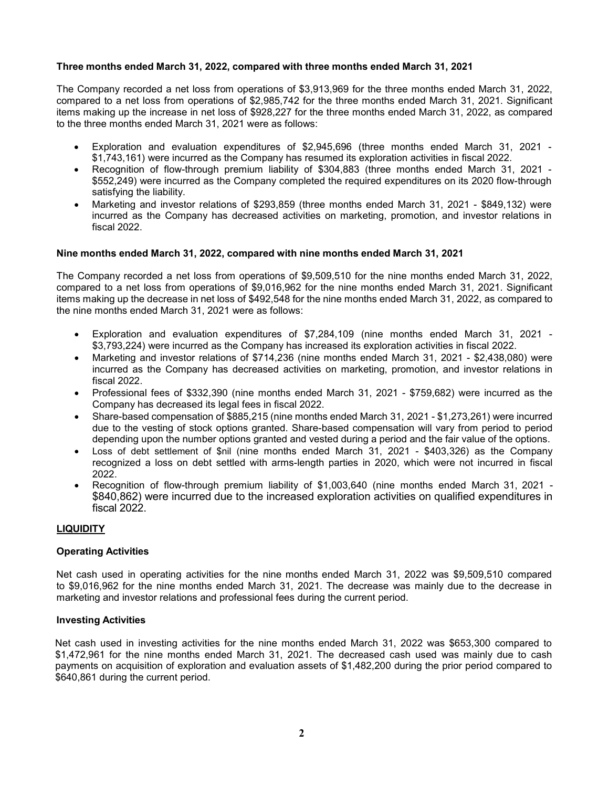## **Three months ended March 31, 2022, compared with three months ended March 31, 2021**

The Company recorded a net loss from operations of \$3,913,969 for the three months ended March 31, 2022, compared to a net loss from operations of \$2,985,742 for the three months ended March 31, 2021. Significant items making up the increase in net loss of \$928,227 for the three months ended March 31, 2022, as compared to the three months ended March 31, 2021 were as follows:

- Exploration and evaluation expenditures of \$2,945,696 (three months ended March 31, 2021 \$1,743,161) were incurred as the Company has resumed its exploration activities in fiscal 2022.
- Recognition of flow-through premium liability of \$304,883 (three months ended March 31, 2021 \$552,249) were incurred as the Company completed the required expenditures on its 2020 flow-through satisfying the liability.
- Marketing and investor relations of \$293,859 (three months ended March 31, 2021 \$849,132) were incurred as the Company has decreased activities on marketing, promotion, and investor relations in fiscal 2022.

## **Nine months ended March 31, 2022, compared with nine months ended March 31, 2021**

The Company recorded a net loss from operations of \$9,509,510 for the nine months ended March 31, 2022, compared to a net loss from operations of \$9,016,962 for the nine months ended March 31, 2021. Significant items making up the decrease in net loss of \$492,548 for the nine months ended March 31, 2022, as compared to the nine months ended March 31, 2021 were as follows:

- Exploration and evaluation expenditures of \$7,284,109 (nine months ended March 31, 2021 \$3,793,224) were incurred as the Company has increased its exploration activities in fiscal 2022.
- Marketing and investor relations of \$714,236 (nine months ended March 31, 2021 \$2,438,080) were incurred as the Company has decreased activities on marketing, promotion, and investor relations in fiscal 2022.
- Professional fees of \$332,390 (nine months ended March 31, 2021 \$759,682) were incurred as the Company has decreased its legal fees in fiscal 2022.
- Share-based compensation of \$885,215 (nine months ended March 31, 2021 \$1,273,261) were incurred due to the vesting of stock options granted. Share-based compensation will vary from period to period depending upon the number options granted and vested during a period and the fair value of the options.
- Loss of debt settlement of \$nil (nine months ended March 31, 2021 \$403,326) as the Company recognized a loss on debt settled with arms-length parties in 2020, which were not incurred in fiscal 2022.
- Recognition of flow-through premium liability of \$1,003,640 (nine months ended March 31, 2021 \$840,862) were incurred due to the increased exploration activities on qualified expenditures in fiscal 2022.

# **LIQUIDITY**

## **Operating Activities**

Net cash used in operating activities for the nine months ended March 31, 2022 was \$9,509,510 compared to \$9,016,962 for the nine months ended March 31, 2021. The decrease was mainly due to the decrease in marketing and investor relations and professional fees during the current period.

## **Investing Activities**

Net cash used in investing activities for the nine months ended March 31, 2022 was \$653,300 compared to \$1,472,961 for the nine months ended March 31, 2021. The decreased cash used was mainly due to cash payments on acquisition of exploration and evaluation assets of \$1,482,200 during the prior period compared to \$640,861 during the current period.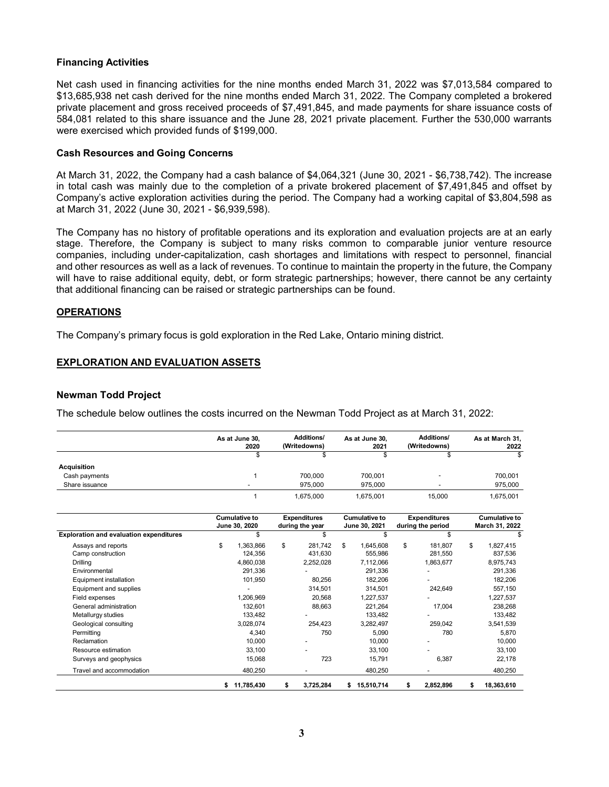## **Financing Activities**

Net cash used in financing activities for the nine months ended March 31, 2022 was \$7,013,584 compared to \$13,685,938 net cash derived for the nine months ended March 31, 2022. The Company completed a brokered private placement and gross received proceeds of \$7,491,845, and made payments for share issuance costs of 584,081 related to this share issuance and the June 28, 2021 private placement. Further the 530,000 warrants were exercised which provided funds of \$199,000.

## **Cash Resources and Going Concerns**

At March 31, 2022, the Company had a cash balance of \$4,064,321 (June 30, 2021 - \$6,738,742). The increase in total cash was mainly due to the completion of a private brokered placement of \$7,491,845 and offset by Company's active exploration activities during the period. The Company had a working capital of \$3,804,598 as at March 31, 2022 (June 30, 2021 - \$6,939,598).

The Company has no history of profitable operations and its exploration and evaluation projects are at an early stage. Therefore, the Company is subject to many risks common to comparable junior venture resource companies, including under-capitalization, cash shortages and limitations with respect to personnel, financial and other resources as well as a lack of revenues. To continue to maintain the property in the future, the Company will have to raise additional equity, debt, or form strategic partnerships; however, there cannot be any certainty that additional financing can be raised or strategic partnerships can be found.

## **OPERATIONS**

The Company's primary focus is gold exploration in the Red Lake, Ontario mining district.

# **EXPLORATION AND EVALUATION ASSETS**

#### **Newman Todd Project**

The schedule below outlines the costs incurred on the Newman Todd Project as at March 31, 2022:

|                                                |    | As at June 30,<br>2020                | <b>Additions/</b><br>(Writedowns)      | As at June 30,<br>2021                | <b>Additions/</b><br>(Writedowns)        | As at March 31,<br>2022         |
|------------------------------------------------|----|---------------------------------------|----------------------------------------|---------------------------------------|------------------------------------------|---------------------------------|
|                                                |    | \$                                    | \$                                     | \$                                    | \$                                       |                                 |
| <b>Acquisition</b>                             |    |                                       |                                        |                                       |                                          |                                 |
| Cash payments                                  |    |                                       | 700.000                                | 700,001                               |                                          | 700,001                         |
| Share issuance                                 |    |                                       | 975.000                                | 975.000                               |                                          | 975,000                         |
|                                                |    |                                       | 1,675,000                              | 1,675,001                             | 15,000                                   | 1,675,001                       |
|                                                |    | <b>Cumulative to</b><br>June 30, 2020 | <b>Expenditures</b><br>during the year | <b>Cumulative to</b><br>June 30, 2021 | <b>Expenditures</b><br>during the period | Cumulative to<br>March 31, 2022 |
| <b>Exploration and evaluation expenditures</b> |    | \$                                    | \$.                                    | \$                                    | \$.                                      | \$                              |
| Assays and reports                             | \$ | 1.363.866                             | \$<br>281.742                          | \$<br>1.645.608                       | \$<br>181.807                            | \$<br>1,827,415                 |
| Camp construction                              |    | 124,356                               | 431,630                                | 555,986                               | 281,550                                  | 837,536                         |
| Drilling                                       |    | 4,860,038                             | 2,252,028                              | 7,112,066                             | 1,863,677                                | 8,975,743                       |
| Environmental                                  |    | 291,336                               |                                        | 291,336                               |                                          | 291,336                         |
| Equipment installation                         |    | 101.950                               | 80.256                                 | 182.206                               |                                          | 182,206                         |
| Equipment and supplies                         |    |                                       | 314,501                                | 314,501                               | 242,649                                  | 557,150                         |
| Field expenses                                 |    | 1.206.969                             | 20.568                                 | 1.227.537                             |                                          | 1,227,537                       |
| General administration                         |    | 132,601                               | 88,663                                 | 221,264                               | 17,004                                   | 238,268                         |
| Metallurgy studies                             |    | 133,482                               |                                        | 133,482                               |                                          | 133,482                         |
| Geological consulting                          |    | 3,028,074                             | 254,423                                | 3,282,497                             | 259,042                                  | 3,541,539                       |
| Permitting                                     |    | 4,340                                 | 750                                    | 5,090                                 | 780                                      | 5,870                           |
| Reclamation                                    |    | 10.000                                |                                        | 10,000                                |                                          | 10,000                          |
| Resource estimation                            |    | 33,100                                |                                        | 33,100                                |                                          | 33,100                          |
| Surveys and geophysics                         |    | 15.068                                | 723                                    | 15,791                                | 6.387                                    | 22,178                          |
| Travel and accommodation                       |    | 480,250                               |                                        | 480,250                               |                                          | 480,250                         |
|                                                | s  | 11,785,430                            | \$<br>3,725,284                        | \$<br>15,510,714                      | \$<br>2,852,896                          | \$<br>18,363,610                |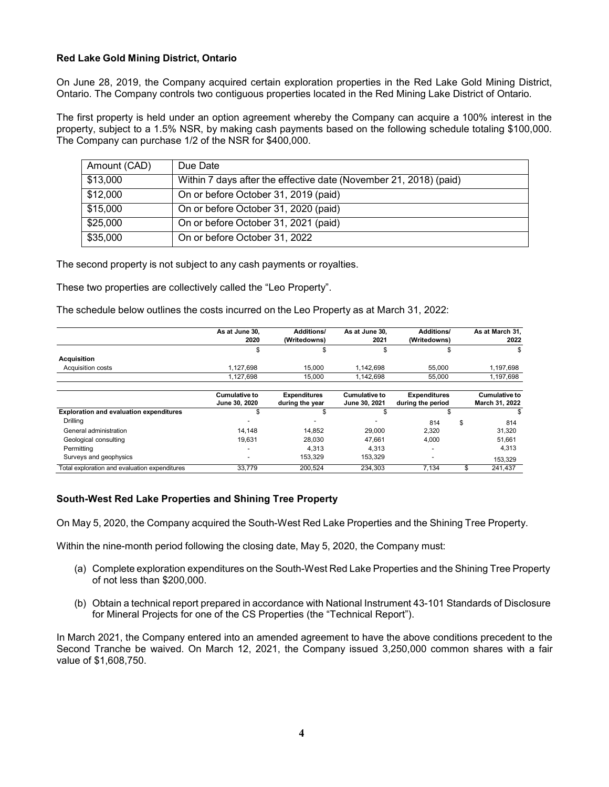## **Red Lake Gold Mining District, Ontario**

On June 28, 2019, the Company acquired certain exploration properties in the Red Lake Gold Mining District, Ontario. The Company controls two contiguous properties located in the Red Mining Lake District of Ontario.

The first property is held under an option agreement whereby the Company can acquire a 100% interest in the property, subject to a 1.5% NSR, by making cash payments based on the following schedule totaling \$100,000. The Company can purchase 1/2 of the NSR for \$400,000.

| Amount (CAD) | Due Date                                                          |
|--------------|-------------------------------------------------------------------|
| \$13,000     | Within 7 days after the effective date (November 21, 2018) (paid) |
| \$12,000     | On or before October 31, 2019 (paid)                              |
| \$15,000     | On or before October 31, 2020 (paid)                              |
| \$25,000     | On or before October 31, 2021 (paid)                              |
| \$35,000     | On or before October 31, 2022                                     |
|              |                                                                   |

The second property is not subject to any cash payments or royalties.

These two properties are collectively called the "Leo Property".

The schedule below outlines the costs incurred on the Leo Property as at March 31, 2022:

|                                                | As at June 30,<br>2020                | Additions/<br>(Writedowns)             | As at June 30,<br>2021                | Additions/<br>(Writedowns)               | As at March 31,<br>2022                |
|------------------------------------------------|---------------------------------------|----------------------------------------|---------------------------------------|------------------------------------------|----------------------------------------|
|                                                | \$                                    |                                        | \$                                    |                                          | S                                      |
| <b>Acquisition</b>                             |                                       |                                        |                                       |                                          |                                        |
| Acquisition costs                              | 1,127,698                             | 15,000                                 | 1,142,698                             | 55,000                                   | 1,197,698                              |
|                                                | 1,127,698                             | 15.000                                 | 1.142.698                             | 55.000                                   | 1,197,698                              |
|                                                | <b>Cumulative to</b><br>June 30, 2020 | <b>Expenditures</b><br>during the year | <b>Cumulative to</b><br>June 30, 2021 | <b>Expenditures</b><br>during the period | <b>Cumulative to</b><br>March 31, 2022 |
| <b>Exploration and evaluation expenditures</b> | \$                                    |                                        |                                       | J.                                       | S                                      |
| Drilling                                       |                                       |                                        |                                       | 814                                      | \$<br>814                              |
| General administration                         | 14.148                                | 14.852                                 | 29,000                                | 2.320                                    | 31.320                                 |
| Geological consulting                          | 19,631                                | 28.030                                 | 47.661                                | 4,000                                    | 51,661                                 |
| Permitting                                     |                                       | 4.313                                  | 4.313                                 | $\overline{\phantom{a}}$                 | 4.313                                  |
| Surveys and geophysics                         |                                       | 153.329                                | 153.329                               | $\overline{\phantom{a}}$                 | 153,329                                |
| Total exploration and evaluation expenditures  | 33,779                                | 200.524                                | 234.303                               | 7.134                                    | \$<br>241,437                          |

## **South-West Red Lake Properties and Shining Tree Property**

On May 5, 2020, the Company acquired the South-West Red Lake Properties and the Shining Tree Property.

Within the nine-month period following the closing date, May 5, 2020, the Company must:

- (a) Complete exploration expenditures on the South-West Red Lake Properties and the Shining Tree Property of not less than \$200,000.
- (b) Obtain a technical report prepared in accordance with National Instrument 43-101 Standards of Disclosure for Mineral Projects for one of the CS Properties (the "Technical Report").

In March 2021, the Company entered into an amended agreement to have the above conditions precedent to the Second Tranche be waived. On March 12, 2021, the Company issued 3,250,000 common shares with a fair value of \$1,608,750.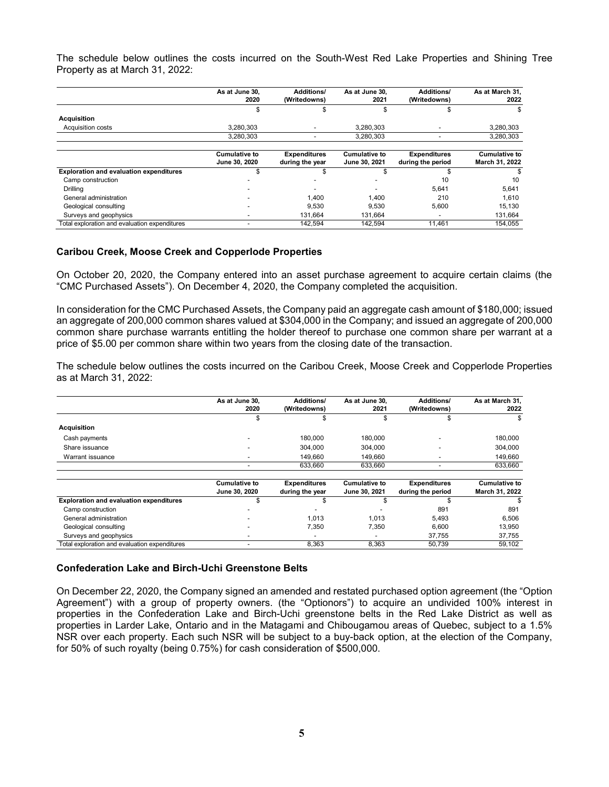The schedule below outlines the costs incurred on the South-West Red Lake Properties and Shining Tree Property as at March 31, 2022:

|                                                | As at June 30.<br>2020                | Additions/<br>(Writedowns)             | As at June 30.<br>2021                | Additions/<br>(Writedowns)               | As at March 31.<br>2022                |
|------------------------------------------------|---------------------------------------|----------------------------------------|---------------------------------------|------------------------------------------|----------------------------------------|
|                                                | S.                                    |                                        |                                       |                                          |                                        |
| <b>Acquisition</b>                             |                                       |                                        |                                       |                                          | S                                      |
| Acquisition costs                              | 3.280.303                             |                                        | 3.280.303                             |                                          | 3,280,303                              |
|                                                | 3.280.303                             |                                        | 3.280.303                             |                                          | 3,280,303                              |
|                                                | <b>Cumulative to</b><br>June 30, 2020 | <b>Expenditures</b><br>during the year | <b>Cumulative to</b><br>June 30, 2021 | <b>Expenditures</b><br>during the period | <b>Cumulative to</b><br>March 31, 2022 |
| <b>Exploration and evaluation expenditures</b> |                                       |                                        |                                       |                                          |                                        |
| Camp construction                              |                                       |                                        |                                       | 10                                       | 10                                     |
| Drilling                                       |                                       |                                        |                                       | 5,641                                    | 5,641                                  |
| General administration                         |                                       | 1.400                                  | 1.400                                 | 210                                      | 1,610                                  |
| Geological consulting                          |                                       | 9,530                                  | 9,530                                 | 5,600                                    | 15,130                                 |
| Surveys and geophysics                         |                                       | 131,664                                | 131.664                               |                                          | 131,664                                |
| Total exploration and evaluation expenditures  |                                       | 142.594                                | 142.594                               | 11,461                                   | 154.055                                |

#### **Caribou Creek, Moose Creek and Copperlode Properties**

On October 20, 2020, the Company entered into an asset purchase agreement to acquire certain claims (the "CMC Purchased Assets"). On December 4, 2020, the Company completed the acquisition.

In consideration for the CMC Purchased Assets, the Company paid an aggregate cash amount of \$180,000; issued an aggregate of 200,000 common shares valued at \$304,000 in the Company; and issued an aggregate of 200,000 common share purchase warrants entitling the holder thereof to purchase one common share per warrant at a price of \$5.00 per common share within two years from the closing date of the transaction.

The schedule below outlines the costs incurred on the Caribou Creek, Moose Creek and Copperlode Properties as at March 31, 2022:

|                                                | As at June 30,<br>2020                | <b>Additions/</b><br>(Writedowns)      | As at June 30.<br>2021                | <b>Additions/</b><br>(Writedowns)        | As at March 31.<br>2022                |
|------------------------------------------------|---------------------------------------|----------------------------------------|---------------------------------------|------------------------------------------|----------------------------------------|
|                                                | \$                                    |                                        |                                       |                                          |                                        |
| <b>Acquisition</b>                             |                                       |                                        |                                       |                                          |                                        |
| Cash payments                                  |                                       | 180,000                                | 180,000                               | $\overline{\phantom{0}}$                 | 180,000                                |
| Share issuance                                 |                                       | 304.000                                | 304,000                               |                                          | 304.000                                |
| Warrant issuance                               |                                       | 149,660                                | 149,660                               | -                                        | 149,660                                |
|                                                | ٠                                     | 633,660                                | 633,660                               | $\overline{\phantom{0}}$                 | 633,660                                |
|                                                | <b>Cumulative to</b><br>June 30, 2020 | <b>Expenditures</b><br>during the year | <b>Cumulative to</b><br>June 30, 2021 | <b>Expenditures</b><br>during the period | <b>Cumulative to</b><br>March 31, 2022 |
| <b>Exploration and evaluation expenditures</b> | \$                                    |                                        |                                       |                                          |                                        |
| Camp construction                              |                                       |                                        |                                       | 891                                      | 891                                    |
| General administration                         |                                       | 1.013                                  | 1.013                                 | 5,493                                    | 6,506                                  |
| Geological consulting                          |                                       | 7,350                                  | 7.350                                 | 6,600                                    | 13,950                                 |
| Surveys and geophysics                         |                                       |                                        |                                       | 37,755                                   | 37,755                                 |
| Total exploration and evaluation expenditures  |                                       | 8,363                                  | 8,363                                 | 50,739                                   | 59,102                                 |

## **Confederation Lake and Birch-Uchi Greenstone Belts**

On December 22, 2020, the Company signed an amended and restated purchased option agreement (the "Option Agreement") with a group of property owners. (the "Optionors") to acquire an undivided 100% interest in properties in the Confederation Lake and Birch-Uchi greenstone belts in the Red Lake District as well as properties in Larder Lake, Ontario and in the Matagami and Chibougamou areas of Quebec, subject to a 1.5% NSR over each property. Each such NSR will be subject to a buy-back option, at the election of the Company, for 50% of such royalty (being 0.75%) for cash consideration of \$500,000.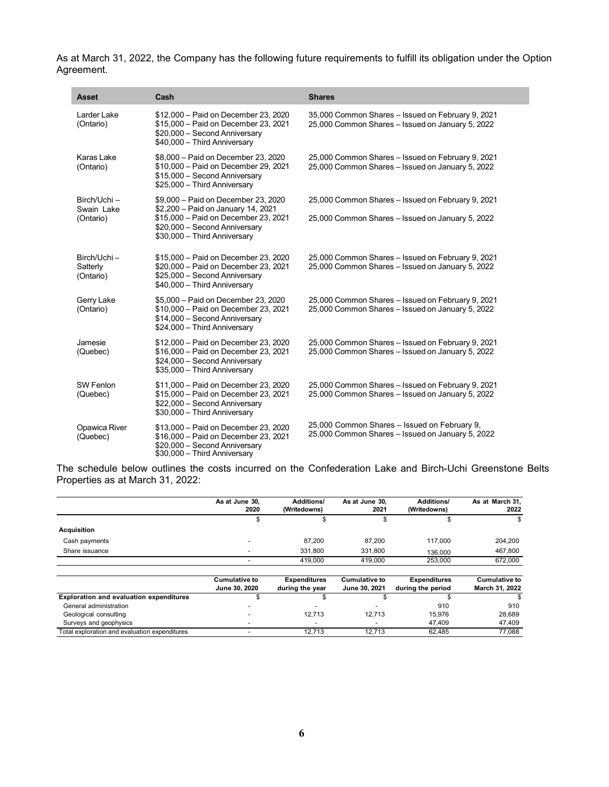As at March 31, 2022, the Company has the following future requirements to fulfill its obligation under the Option Agreement.

| <b>Asset</b>                            | Cash                                                                                                                                                                               | <b>Shares</b>                                                                                         |
|-----------------------------------------|------------------------------------------------------------------------------------------------------------------------------------------------------------------------------------|-------------------------------------------------------------------------------------------------------|
| Larder Lake<br>(Ontario)                | \$12,000 - Paid on December 23, 2020<br>\$15,000 - Paid on December 23, 2021<br>\$20,000 - Second Anniversary<br>\$40,000 - Third Anniversary                                      | 35,000 Common Shares - Issued on February 9, 2021<br>25,000 Common Shares - Issued on January 5, 2022 |
| Karas Lake<br>(Ontario)                 | \$8,000 - Paid on December 23, 2020<br>\$10,000 - Paid on December 29, 2021<br>\$15,000 - Second Anniversary<br>\$25,000 - Third Anniversary                                       | 25,000 Common Shares - Issued on February 9, 2021<br>25,000 Common Shares - Issued on January 5, 2022 |
| Birch/Uchi –<br>Swain Lake<br>(Ontario) | \$9,000 - Paid on December 23, 2020<br>\$2,200 - Paid on January 14, 2021<br>\$15,000 - Paid on December 23, 2021<br>\$20,000 - Second Anniversary<br>\$30,000 - Third Anniversary | 25,000 Common Shares - Issued on February 9, 2021<br>25,000 Common Shares - Issued on January 5, 2022 |
| Birch/Uchi-<br>Satterly<br>(Ontario)    | \$15,000 - Paid on December 23, 2020<br>\$20,000 - Paid on December 23, 2021<br>\$25,000 - Second Anniversary<br>\$40,000 - Third Anniversary                                      | 25,000 Common Shares - Issued on February 9, 2021<br>25,000 Common Shares - Issued on January 5, 2022 |
| Gerry Lake<br>(Ontario)                 | \$5,000 - Paid on December 23, 2020<br>\$10,000 - Paid on December 23, 2021<br>\$14,000 - Second Anniversary<br>\$24,000 - Third Anniversary                                       | 25,000 Common Shares - Issued on February 9, 2021<br>25,000 Common Shares - Issued on January 5, 2022 |
| Jamesie<br>(Quebec)                     | \$12,000 - Paid on December 23, 2020<br>\$16,000 - Paid on December 23, 2021<br>\$24,000 - Second Anniversary<br>\$35,000 - Third Anniversary                                      | 25,000 Common Shares - Issued on February 9, 2021<br>25,000 Common Shares - Issued on January 5, 2022 |
| SW Fenlon<br>(Quebec)                   | \$11,000 - Paid on December 23, 2020<br>\$15,000 - Paid on December 23, 2021<br>\$22,000 - Second Anniversary<br>\$30,000 - Third Anniversary                                      | 25,000 Common Shares - Issued on February 9, 2021<br>25,000 Common Shares - Issued on January 5, 2022 |
| Opawica River<br>(Quebec)               | \$13,000 - Paid on December 23, 2020<br>\$16,000 - Paid on December 23, 2021<br>\$20,000 - Second Anniversary<br>\$30,000 - Third Anniversary                                      | 25,000 Common Shares - Issued on February 9,<br>25,000 Common Shares - Issued on January 5, 2022      |

The schedule below outlines the costs incurred on the Confederation Lake and Birch-Uchi Greenstone Belts Properties as at March 31, 2022:

|                                                | As at June 30.<br>2020                | <b>Additions/</b><br>(Writedowns)      | As at June 30.<br>2021                | Additions/<br>(Writedowns)               | As at March 31,<br>2022                |
|------------------------------------------------|---------------------------------------|----------------------------------------|---------------------------------------|------------------------------------------|----------------------------------------|
|                                                | ъ                                     | \$                                     | \$                                    | \$                                       | \$                                     |
| <b>Acquisition</b>                             |                                       |                                        |                                       |                                          |                                        |
| Cash payments                                  |                                       | 87.200                                 | 87.200                                | 117.000                                  | 204,200                                |
| Share issuance                                 |                                       | 331.800                                | 331,800                               | 136.000                                  | 467,800                                |
|                                                |                                       | 419.000                                | 419.000                               | 253,000                                  | 672,000                                |
|                                                | <b>Cumulative to</b><br>June 30, 2020 | <b>Expenditures</b><br>during the year | <b>Cumulative to</b><br>June 30, 2021 | <b>Expenditures</b><br>during the period | <b>Cumulative to</b><br>March 31, 2022 |
| <b>Exploration and evaluation expenditures</b> |                                       |                                        |                                       |                                          | S                                      |
| General administration                         |                                       |                                        |                                       | 910                                      | 910                                    |
| Geological consulting                          |                                       | 12,713                                 | 12,713                                | 15,976                                   | 28,689                                 |
| Surveys and geophysics                         |                                       | -                                      |                                       | 47.409                                   | 47.409                                 |

Total exploration and evaluation expenditures - 12,713 12,713 62,485 77,088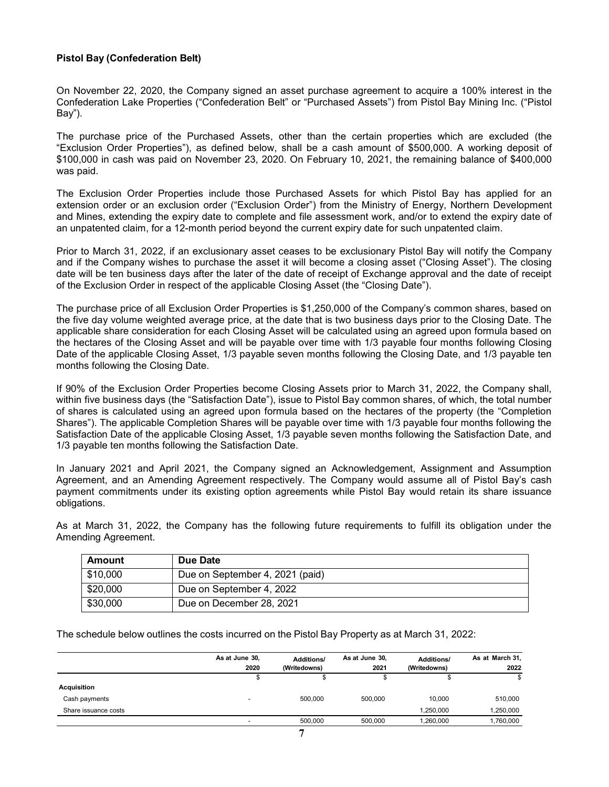# **Pistol Bay (Confederation Belt)**

On November 22, 2020, the Company signed an asset purchase agreement to acquire a 100% interest in the Confederation Lake Properties ("Confederation Belt" or "Purchased Assets") from Pistol Bay Mining Inc. ("Pistol Bay").

The purchase price of the Purchased Assets, other than the certain properties which are excluded (the "Exclusion Order Properties"), as defined below, shall be a cash amount of \$500,000. A working deposit of \$100,000 in cash was paid on November 23, 2020. On February 10, 2021, the remaining balance of \$400,000 was paid.

The Exclusion Order Properties include those Purchased Assets for which Pistol Bay has applied for an extension order or an exclusion order ("Exclusion Order") from the Ministry of Energy, Northern Development and Mines, extending the expiry date to complete and file assessment work, and/or to extend the expiry date of an unpatented claim, for a 12-month period beyond the current expiry date for such unpatented claim.

Prior to March 31, 2022, if an exclusionary asset ceases to be exclusionary Pistol Bay will notify the Company and if the Company wishes to purchase the asset it will become a closing asset ("Closing Asset"). The closing date will be ten business days after the later of the date of receipt of Exchange approval and the date of receipt of the Exclusion Order in respect of the applicable Closing Asset (the "Closing Date").

The purchase price of all Exclusion Order Properties is \$1,250,000 of the Company's common shares, based on the five day volume weighted average price, at the date that is two business days prior to the Closing Date. The applicable share consideration for each Closing Asset will be calculated using an agreed upon formula based on the hectares of the Closing Asset and will be payable over time with 1/3 payable four months following Closing Date of the applicable Closing Asset, 1/3 payable seven months following the Closing Date, and 1/3 payable ten months following the Closing Date.

If 90% of the Exclusion Order Properties become Closing Assets prior to March 31, 2022, the Company shall, within five business days (the "Satisfaction Date"), issue to Pistol Bay common shares, of which, the total number of shares is calculated using an agreed upon formula based on the hectares of the property (the "Completion Shares"). The applicable Completion Shares will be payable over time with 1/3 payable four months following the Satisfaction Date of the applicable Closing Asset, 1/3 payable seven months following the Satisfaction Date, and 1/3 payable ten months following the Satisfaction Date.

In January 2021 and April 2021, the Company signed an Acknowledgement, Assignment and Assumption Agreement, and an Amending Agreement respectively. The Company would assume all of Pistol Bay's cash payment commitments under its existing option agreements while Pistol Bay would retain its share issuance obligations.

As at March 31, 2022, the Company has the following future requirements to fulfill its obligation under the Amending Agreement.

| Amount   | Due Date                        |
|----------|---------------------------------|
| \$10,000 | Due on September 4, 2021 (paid) |
| \$20,000 | Due on September 4, 2022        |
| \$30,000 | Due on December 28, 2021        |

The schedule below outlines the costs incurred on the Pistol Bay Property as at March 31, 2022:

|                      | As at June 30,<br>2020   | <b>Additions/</b><br>(Writedowns) | As at June 30,<br>2021 | <b>Additions/</b><br>(Writedowns) | As at March 31,<br>2022 |
|----------------------|--------------------------|-----------------------------------|------------------------|-----------------------------------|-------------------------|
|                      |                          |                                   |                        |                                   |                         |
| <b>Acquisition</b>   |                          |                                   |                        |                                   |                         |
| Cash payments        | $\overline{\phantom{0}}$ | 500.000                           | 500.000                | 10.000                            | 510,000                 |
| Share issuance costs |                          |                                   |                        | 1.250.000                         | 1,250,000               |
|                      |                          | 500.000                           | 500.000                | 1,260,000                         | ,760,000                |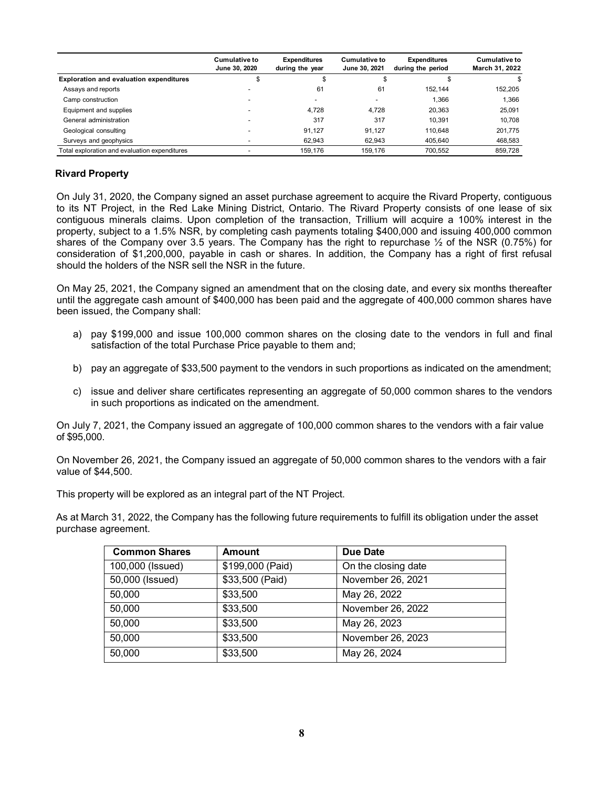|                                                | <b>Cumulative to</b><br>June 30, 2020 | <b>Expenditures</b><br>during the year | <b>Cumulative to</b><br>June 30, 2021 | <b>Expenditures</b><br>during the period | <b>Cumulative to</b><br>March 31, 2022 |
|------------------------------------------------|---------------------------------------|----------------------------------------|---------------------------------------|------------------------------------------|----------------------------------------|
| <b>Exploration and evaluation expenditures</b> | Φ                                     | æ                                      |                                       |                                          |                                        |
| Assays and reports                             |                                       | 61                                     | 61                                    | 152.144                                  | 152,205                                |
| Camp construction                              |                                       | -                                      |                                       | 1.366                                    | 1.366                                  |
| Equipment and supplies                         |                                       | 4.728                                  | 4.728                                 | 20.363                                   | 25.091                                 |
| General administration                         |                                       | 317                                    | 317                                   | 10.391                                   | 10,708                                 |
| Geological consulting                          |                                       | 91.127                                 | 91.127                                | 110.648                                  | 201.775                                |
| Surveys and geophysics                         |                                       | 62.943                                 | 62.943                                | 405.640                                  | 468,583                                |
| Total exploration and evaluation expenditures  |                                       | 159.176                                | 159.176                               | 700.552                                  | 859.728                                |

# **Rivard Property**

On July 31, 2020, the Company signed an asset purchase agreement to acquire the Rivard Property, contiguous to its NT Project, in the Red Lake Mining District, Ontario. The Rivard Property consists of one lease of six contiguous minerals claims. Upon completion of the transaction, Trillium will acquire a 100% interest in the property, subject to a 1.5% NSR, by completing cash payments totaling \$400,000 and issuing 400,000 common shares of the Company over 3.5 years. The Company has the right to repurchase  $\frac{1}{2}$  of the NSR (0.75%) for consideration of \$1,200,000, payable in cash or shares. In addition, the Company has a right of first refusal should the holders of the NSR sell the NSR in the future.

On May 25, 2021, the Company signed an amendment that on the closing date, and every six months thereafter until the aggregate cash amount of \$400,000 has been paid and the aggregate of 400,000 common shares have been issued, the Company shall:

- a) pay \$199,000 and issue 100,000 common shares on the closing date to the vendors in full and final satisfaction of the total Purchase Price payable to them and;
- b) pay an aggregate of \$33,500 payment to the vendors in such proportions as indicated on the amendment;
- c) issue and deliver share certificates representing an aggregate of 50,000 common shares to the vendors in such proportions as indicated on the amendment.

On July 7, 2021, the Company issued an aggregate of 100,000 common shares to the vendors with a fair value of \$95,000.

On November 26, 2021, the Company issued an aggregate of 50,000 common shares to the vendors with a fair value of \$44,500.

This property will be explored as an integral part of the NT Project.

As at March 31, 2022, the Company has the following future requirements to fulfill its obligation under the asset purchase agreement.

| <b>Common Shares</b> | <b>Amount</b>    | Due Date            |
|----------------------|------------------|---------------------|
| 100,000 (Issued)     | \$199,000 (Paid) | On the closing date |
| 50,000 (Issued)      | \$33,500 (Paid)  | November 26, 2021   |
| 50,000               | \$33,500         | May 26, 2022        |
| 50,000               | \$33,500         | November 26, 2022   |
| 50,000               | \$33,500         | May 26, 2023        |
| 50,000               | \$33,500         | November 26, 2023   |
| 50,000               | \$33,500         | May 26, 2024        |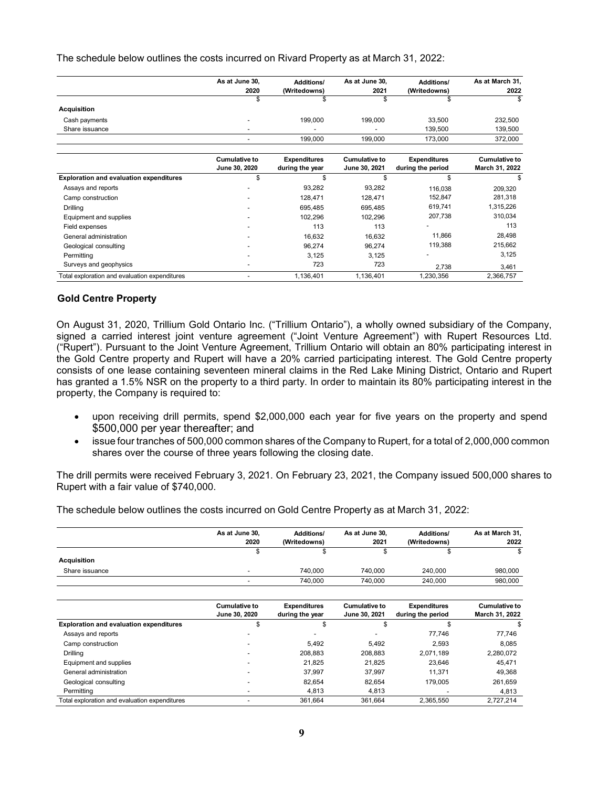The schedule below outlines the costs incurred on Rivard Property as at March 31, 2022:

|                                                | As at June 30,<br>2020                | <b>Additions/</b><br>(Writedowns)      | As at June 30,<br>2021                | <b>Additions/</b><br>(Writedowns)        | As at March 31,<br>2022                |
|------------------------------------------------|---------------------------------------|----------------------------------------|---------------------------------------|------------------------------------------|----------------------------------------|
|                                                | \$                                    |                                        |                                       |                                          |                                        |
| <b>Acquisition</b>                             |                                       |                                        |                                       |                                          |                                        |
| Cash payments                                  |                                       | 199,000                                | 199,000                               | 33,500                                   | 232,500                                |
| Share issuance                                 |                                       |                                        |                                       | 139,500                                  | 139,500                                |
|                                                |                                       | 199,000                                | 199,000                               | 173,000                                  | 372,000                                |
|                                                | <b>Cumulative to</b><br>June 30, 2020 | <b>Expenditures</b><br>during the year | <b>Cumulative to</b><br>June 30, 2021 | <b>Expenditures</b><br>during the period | <b>Cumulative to</b><br>March 31, 2022 |
| <b>Exploration and evaluation expenditures</b> | \$                                    | \$                                     | \$                                    | \$                                       |                                        |
| Assays and reports                             |                                       | 93,282                                 | 93,282                                | 116,038                                  | 209,320                                |
| Camp construction                              |                                       | 128,471                                | 128,471                               | 152,847                                  | 281,318                                |
| Drilling                                       |                                       | 695,485                                | 695,485                               | 619,741                                  | 1,315,226                              |
| Equipment and supplies                         |                                       | 102,296                                | 102,296                               | 207,738                                  | 310,034                                |
| Field expenses                                 |                                       | 113                                    | 113                                   |                                          | 113                                    |
| General administration                         |                                       | 16,632                                 | 16,632                                | 11,866                                   | 28,498                                 |
| Geological consulting                          |                                       | 96,274                                 | 96,274                                | 119,388                                  | 215,662                                |
| Permitting                                     |                                       | 3,125                                  | 3,125                                 |                                          | 3,125                                  |
| Surveys and geophysics                         |                                       | 723                                    | 723                                   | 2,738                                    | 3,461                                  |
| Total exploration and evaluation expenditures  |                                       | 1,136,401                              | 1,136,401                             | 1,230,356                                | 2,366,757                              |

## **Gold Centre Property**

On August 31, 2020, Trillium Gold Ontario Inc. ("Trillium Ontario"), a wholly owned subsidiary of the Company, signed a carried interest joint venture agreement ("Joint Venture Agreement") with Rupert Resources Ltd. ("Rupert"). Pursuant to the Joint Venture Agreement, Trillium Ontario will obtain an 80% participating interest in the Gold Centre property and Rupert will have a 20% carried participating interest. The Gold Centre property consists of one lease containing seventeen mineral claims in the Red Lake Mining District, Ontario and Rupert has granted a 1.5% NSR on the property to a third party. In order to maintain its 80% participating interest in the property, the Company is required to:

- upon receiving drill permits, spend \$2,000,000 each year for five years on the property and spend \$500,000 per year thereafter; and
- issue four tranches of 500,000 common shares of the Company to Rupert, for a total of 2,000,000 common shares over the course of three years following the closing date.

The drill permits were received February 3, 2021. On February 23, 2021, the Company issued 500,000 shares to Rupert with a fair value of \$740,000.

The schedule below outlines the costs incurred on Gold Centre Property as at March 31, 2022:

|                                                | As at June 30,                        | <b>Additions/</b>                      | As at June 30,                        | <b>Additions/</b>                        | As at March 31,                        |
|------------------------------------------------|---------------------------------------|----------------------------------------|---------------------------------------|------------------------------------------|----------------------------------------|
|                                                | 2020                                  | (Writedowns)                           | 2021                                  | (Writedowns)                             | 2022                                   |
|                                                | \$                                    | \$                                     | \$                                    | \$                                       | \$                                     |
| <b>Acquisition</b>                             |                                       |                                        |                                       |                                          |                                        |
| Share issuance                                 |                                       | 740,000                                | 740,000                               | 240,000                                  | 980,000                                |
|                                                |                                       | 740,000                                | 740,000                               | 240,000                                  | 980,000                                |
|                                                | <b>Cumulative to</b><br>June 30, 2020 | <b>Expenditures</b><br>during the year | <b>Cumulative to</b><br>June 30, 2021 | <b>Expenditures</b><br>during the period | <b>Cumulative to</b><br>March 31, 2022 |
| <b>Exploration and evaluation expenditures</b> | \$                                    | \$                                     | \$                                    | \$                                       |                                        |
| Assays and reports                             |                                       |                                        |                                       | 77,746                                   | 77,746                                 |
| Camp construction                              |                                       | 5.492                                  | 5.492                                 | 2.593                                    | 8.085                                  |
| Drilling                                       |                                       | 208.883                                | 208.883                               | 2,071,189                                | 2,280,072                              |
| Equipment and supplies                         |                                       | 21,825                                 | 21,825                                | 23,646                                   | 45,471                                 |
| General administration                         |                                       | 37,997                                 | 37,997                                | 11,371                                   | 49,368                                 |
| Geological consulting                          |                                       | 82,654                                 | 82,654                                | 179,005                                  | 261,659                                |
| Permitting                                     |                                       | 4,813                                  | 4,813                                 |                                          | 4,813                                  |
| Total exploration and evaluation expenditures  |                                       | 361,664                                | 361,664                               | 2.365.550                                | 2,727,214                              |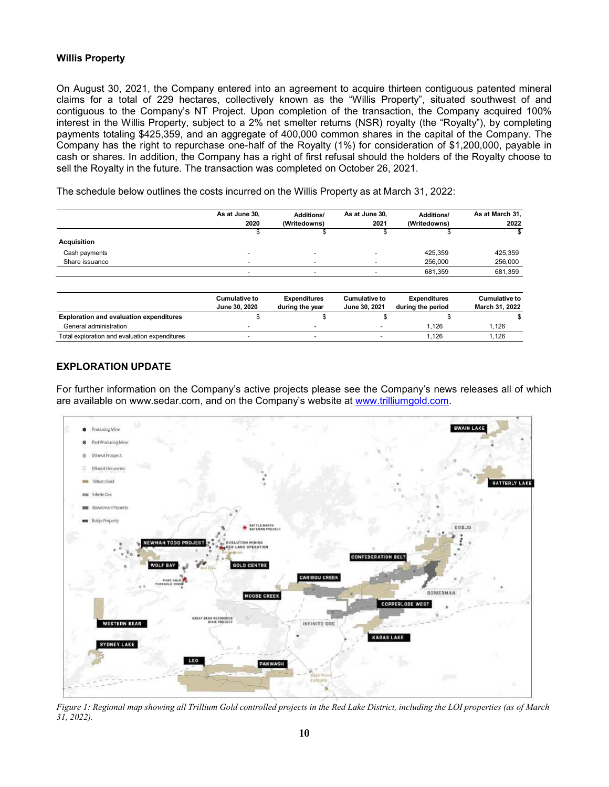## **Willis Property**

On August 30, 2021, the Company entered into an agreement to acquire thirteen contiguous patented mineral claims for a total of 229 hectares, collectively known as the "Willis Property", situated southwest of and contiguous to the Company's NT Project. Upon completion of the transaction, the Company acquired 100% interest in the Willis Property, subject to a 2% net smelter returns (NSR) royalty (the "Royalty"), by completing payments totaling \$425,359, and an aggregate of 400,000 common shares in the capital of the Company. The Company has the right to repurchase one-half of the Royalty (1%) for consideration of \$1,200,000, payable in cash or shares. In addition, the Company has a right of first refusal should the holders of the Royalty choose to sell the Royalty in the future. The transaction was completed on October 26, 2021.

The schedule below outlines the costs incurred on the Willis Property as at March 31, 2022:

|                                                | As at June 30,<br>2020                | <b>Additions/</b><br>(Writedowns)      | As at June 30,<br>2021         | <b>Additions/</b><br>(Writedowns)        | As at March 31,<br>2022         |
|------------------------------------------------|---------------------------------------|----------------------------------------|--------------------------------|------------------------------------------|---------------------------------|
|                                                | æ                                     |                                        |                                |                                          |                                 |
| <b>Acquisition</b>                             |                                       |                                        |                                |                                          |                                 |
| Cash payments                                  |                                       |                                        |                                | 425.359                                  | 425,359                         |
| Share issuance                                 |                                       |                                        |                                | 256,000                                  | 256,000                         |
|                                                |                                       |                                        |                                | 681,359                                  | 681,359                         |
|                                                | <b>Cumulative to</b><br>June 30, 2020 | <b>Expenditures</b><br>during the year | Cumulative to<br>June 30, 2021 | <b>Expenditures</b><br>during the period | Cumulative to<br>March 31, 2022 |
| <b>Exploration and evaluation expenditures</b> | \$                                    | \$                                     | \$                             |                                          |                                 |
| General administration                         |                                       |                                        |                                | 1.126                                    | 1,126                           |
| Total exploration and evaluation expenditures  |                                       |                                        |                                | 1,126                                    | 1,126                           |

# **EXPLORATION UPDATE**

For further information on the Company's active projects please see the Company's news releases all of which are available on [www.sedar.com, a](http://www.sedar.com/)nd on the Company's website at [www.trilliumgold.com.](http://www.trilliumgold.com/)



Figure 1: Regional map showing all Trillium Gold controlled projects in the Red Lake District, including the LOI properties (as of March *31, 2022).*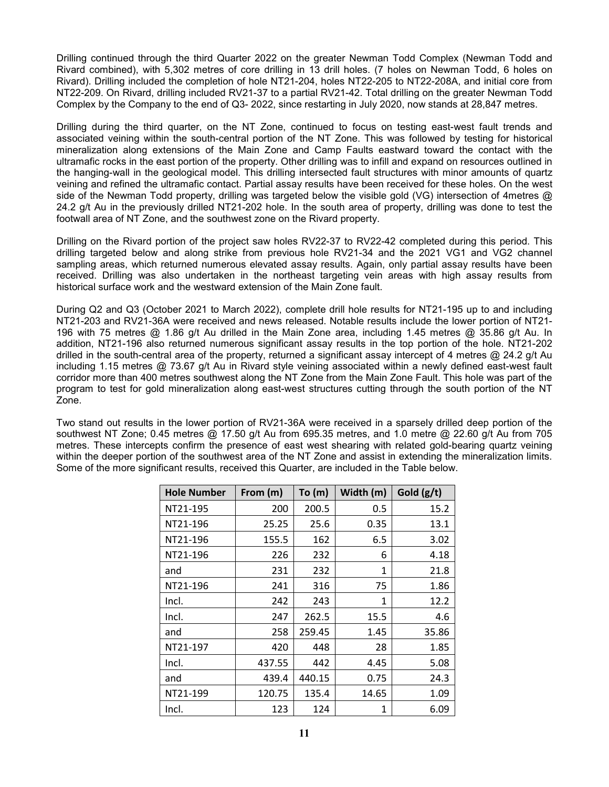Drilling continued through the third Quarter 2022 on the greater Newman Todd Complex (Newman Todd and Rivard combined), with 5,302 metres of core drilling in 13 drill holes. (7 holes on Newman Todd, 6 holes on Rivard). Drilling included the completion of hole NT21-204, holes NT22-205 to NT22-208A, and initial core from NT22-209. On Rivard, drilling included RV21-37 to a partial RV21-42. Total drilling on the greater Newman Todd Complex by the Company to the end of Q3- 2022, since restarting in July 2020, now stands at 28,847 metres.

Drilling during the third quarter, on the NT Zone, continued to focus on testing east-west fault trends and associated veining within the south-central portion of the NT Zone. This was followed by testing for historical mineralization along extensions of the Main Zone and Camp Faults eastward toward the contact with the ultramafic rocks in the east portion of the property. Other drilling was to infill and expand on resources outlined in the hanging-wall in the geological model. This drilling intersected fault structures with minor amounts of quartz veining and refined the ultramafic contact. Partial assay results have been received for these holes. On the west side of the Newman Todd property, drilling was targeted below the visible gold (VG) intersection of 4metres @ 24.2 g/t Au in the previously drilled NT21-202 hole. In the south area of property, drilling was done to test the footwall area of NT Zone, and the southwest zone on the Rivard property.

Drilling on the Rivard portion of the project saw holes RV22-37 to RV22-42 completed during this period. This drilling targeted below and along strike from previous hole RV21-34 and the 2021 VG1 and VG2 channel sampling areas, which returned numerous elevated assay results. Again, only partial assay results have been received. Drilling was also undertaken in the northeast targeting vein areas with high assay results from historical surface work and the westward extension of the Main Zone fault.

During Q2 and Q3 (October 2021 to March 2022), complete drill hole results for NT21-195 up to and including NT21-203 and RV21-36A were received and news released. Notable results include the lower portion of NT21- 196 with 75 metres @ 1.86 g/t Au drilled in the Main Zone area, including 1.45 metres @ 35.86 g/t Au. In addition, NT21-196 also returned numerous significant assay results in the top portion of the hole. NT21-202 drilled in the south-central area of the property, returned a significant assay intercept of 4 metres @ 24.2 g/t Au including 1.15 metres @ 73.67 g/t Au in Rivard style veining associated within a newly defined east-west fault corridor more than 400 metres southwest along the NT Zone from the Main Zone Fault. This hole was part of the program to test for gold mineralization along east-west structures cutting through the south portion of the NT Zone.

Two stand out results in the lower portion of RV21-36A were received in a sparsely drilled deep portion of the southwest NT Zone; 0.45 metres @ 17.50 g/t Au from 695.35 metres, and 1.0 metre @ 22.60 g/t Au from 705 metres. These intercepts confirm the presence of east west shearing with related gold-bearing quartz veining within the deeper portion of the southwest area of the NT Zone and assist in extending the mineralization limits. Some of the more significant results, received this Quarter, are included in the Table below.

| <b>Hole Number</b> | From (m) | To (m) | Width (m) | Gold $(g/t)$ |
|--------------------|----------|--------|-----------|--------------|
| NT21-195           | 200      | 200.5  | 0.5       | 15.2         |
| NT21-196           | 25.25    | 25.6   | 0.35      | 13.1         |
| NT21-196           | 155.5    | 162    | 6.5       | 3.02         |
| NT21-196           | 226      | 232    | 6         | 4.18         |
| and                | 231      | 232    | 1         | 21.8         |
| NT21-196           | 241      | 316    | 75        | 1.86         |
| Incl.              | 242      | 243    | 1         | 12.2         |
| Incl.              | 247      | 262.5  | 15.5      | 4.6          |
| and                | 258      | 259.45 | 1.45      | 35.86        |
| NT21-197           | 420      | 448    | 28        | 1.85         |
| Incl.              | 437.55   | 442    | 4.45      | 5.08         |
| and                | 439.4    | 440.15 | 0.75      | 24.3         |
| NT21-199           | 120.75   | 135.4  | 14.65     | 1.09         |
| Incl.              | 123      | 124    | 1         | 6.09         |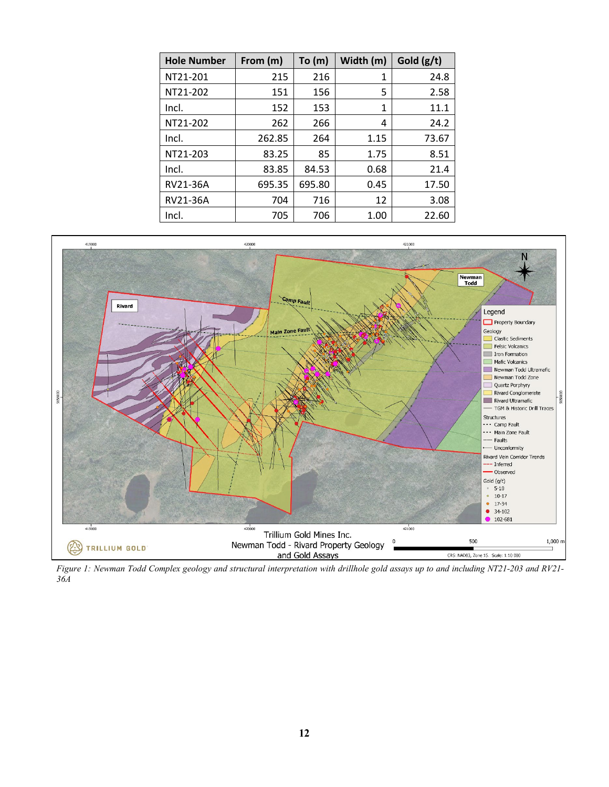| <b>Hole Number</b> | From (m) | To(m)  | Width (m)    | Gold $(g/t)$ |
|--------------------|----------|--------|--------------|--------------|
| NT21-201           | 215      | 216    | $\mathbf{1}$ | 24.8         |
| NT21-202           | 151      | 156    | 5            | 2.58         |
| Incl.              | 152      | 153    | $\mathbf{1}$ | 11.1         |
| NT21-202           | 262      | 266    | 4            | 24.2         |
| Incl.              | 262.85   | 264    | 1.15         | 73.67        |
| NT21-203           | 83.25    | 85     | 1.75         | 8.51         |
| Incl.              | 83.85    | 84.53  | 0.68         | 21.4         |
| RV21-36A           | 695.35   | 695.80 | 0.45         | 17.50        |
| RV21-36A           | 704      | 716    | 12           | 3.08         |
| Incl.              | 705      | 706    | 1.00         | 22.60        |



*Figure 1: Newman Todd Complex geology and structural interpretation with drillhole gold assays up to and including NT21-203 and RV21- 36A*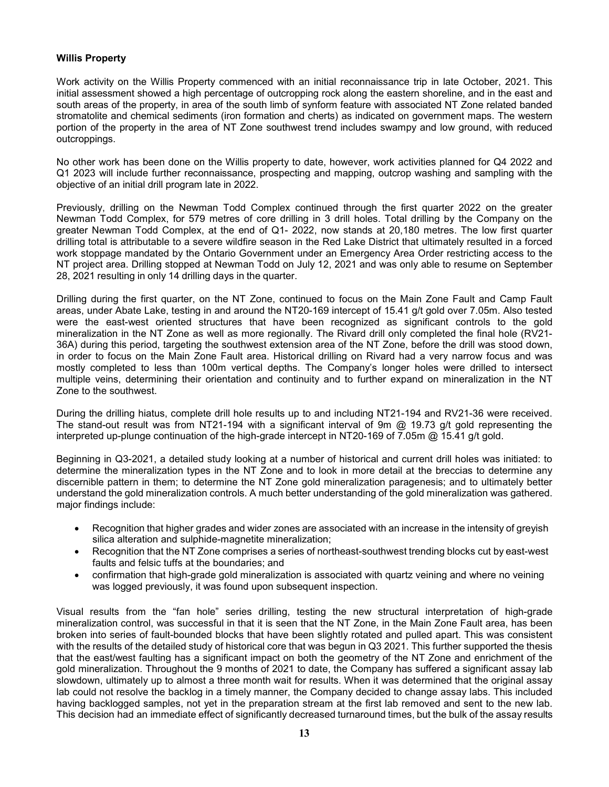## **Willis Property**

Work activity on the Willis Property commenced with an initial reconnaissance trip in late October, 2021. This initial assessment showed a high percentage of outcropping rock along the eastern shoreline, and in the east and south areas of the property, in area of the south limb of synform feature with associated NT Zone related banded stromatolite and chemical sediments (iron formation and cherts) as indicated on government maps. The western portion of the property in the area of NT Zone southwest trend includes swampy and low ground, with reduced outcroppings.

No other work has been done on the Willis property to date, however, work activities planned for Q4 2022 and Q1 2023 will include further reconnaissance, prospecting and mapping, outcrop washing and sampling with the objective of an initial drill program late in 2022.

Previously, drilling on the Newman Todd Complex continued through the first quarter 2022 on the greater Newman Todd Complex, for 579 metres of core drilling in 3 drill holes. Total drilling by the Company on the greater Newman Todd Complex, at the end of Q1- 2022, now stands at 20,180 metres. The low first quarter drilling total is attributable to a severe wildfire season in the Red Lake District that ultimately resulted in a forced work stoppage mandated by the Ontario Government under an Emergency Area Order restricting access to the NT project area. Drilling stopped at Newman Todd on July 12, 2021 and was only able to resume on September 28, 2021 resulting in only 14 drilling days in the quarter.

Drilling during the first quarter, on the NT Zone, continued to focus on the Main Zone Fault and Camp Fault areas, under Abate Lake, testing in and around the NT20-169 intercept of 15.41 g/t gold over 7.05m. Also tested were the east-west oriented structures that have been recognized as significant controls to the gold mineralization in the NT Zone as well as more regionally. The Rivard drill only completed the final hole (RV21- 36A) during this period, targeting the southwest extension area of the NT Zone, before the drill was stood down, in order to focus on the Main Zone Fault area. Historical drilling on Rivard had a very narrow focus and was mostly completed to less than 100m vertical depths. The Company's longer holes were drilled to intersect multiple veins, determining their orientation and continuity and to further expand on mineralization in the NT Zone to the southwest.

During the drilling hiatus, complete drill hole results up to and including NT21-194 and RV21-36 were received. The stand-out result was from NT21-194 with a significant interval of 9m @ 19.73 g/t gold representing the interpreted up-plunge continuation of the high-grade intercept in NT20-169 of 7.05m @ 15.41 g/t gold.

Beginning in Q3-2021, a detailed study looking at a number of historical and current drill holes was initiated: to determine the mineralization types in the NT Zone and to look in more detail at the breccias to determine any discernible pattern in them; to determine the NT Zone gold mineralization paragenesis; and to ultimately better understand the gold mineralization controls. A much better understanding of the gold mineralization was gathered. major findings include:

- Recognition that higher grades and wider zones are associated with an increase in the intensity of greyish silica alteration and sulphide-magnetite mineralization;
- Recognition that the NT Zone comprises a series of northeast-southwest trending blocks cut by east-west faults and felsic tuffs at the boundaries; and
- confirmation that high-grade gold mineralization is associated with quartz veining and where no veining was logged previously, it was found upon subsequent inspection.

Visual results from the "fan hole" series drilling, testing the new structural interpretation of high-grade mineralization control, was successful in that it is seen that the NT Zone, in the Main Zone Fault area, has been broken into series of fault-bounded blocks that have been slightly rotated and pulled apart. This was consistent with the results of the detailed study of historical core that was begun in Q3 2021. This further supported the thesis that the east/west faulting has a significant impact on both the geometry of the NT Zone and enrichment of the gold mineralization. Throughout the 9 months of 2021 to date, the Company has suffered a significant assay lab slowdown, ultimately up to almost a three month wait for results. When it was determined that the original assay lab could not resolve the backlog in a timely manner, the Company decided to change assay labs. This included having backlogged samples, not yet in the preparation stream at the first lab removed and sent to the new lab. This decision had an immediate effect of significantly decreased turnaround times, but the bulk of the assay results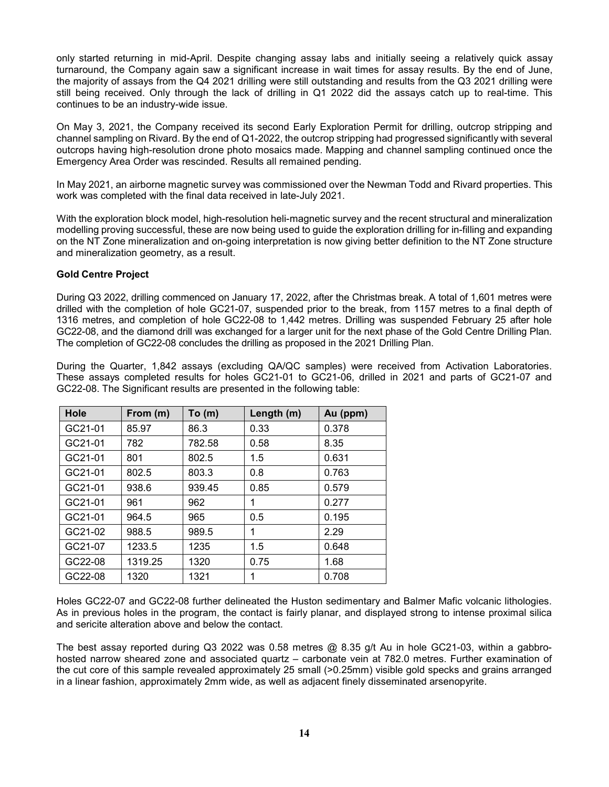only started returning in mid-April. Despite changing assay labs and initially seeing a relatively quick assay turnaround, the Company again saw a significant increase in wait times for assay results. By the end of June, the majority of assays from the Q4 2021 drilling were still outstanding and results from the Q3 2021 drilling were still being received. Only through the lack of drilling in Q1 2022 did the assays catch up to real-time. This continues to be an industry-wide issue.

On May 3, 2021, the Company received its second Early Exploration Permit for drilling, outcrop stripping and channel sampling on Rivard. By the end of Q1-2022, the outcrop stripping had progressed significantly with several outcrops having high-resolution drone photo mosaics made. Mapping and channel sampling continued once the Emergency Area Order was rescinded. Results all remained pending.

In May 2021, an airborne magnetic survey was commissioned over the Newman Todd and Rivard properties. This work was completed with the final data received in late-July 2021.

With the exploration block model, high-resolution heli-magnetic survey and the recent structural and mineralization modelling proving successful, these are now being used to guide the exploration drilling for in-filling and expanding on the NT Zone mineralization and on-going interpretation is now giving better definition to the NT Zone structure and mineralization geometry, as a result.

## **Gold Centre Project**

During Q3 2022, drilling commenced on January 17, 2022, after the Christmas break. A total of 1,601 metres were drilled with the completion of hole GC21-07, suspended prior to the break, from 1157 metres to a final depth of 1316 metres, and completion of hole GC22-08 to 1,442 metres. Drilling was suspended February 25 after hole GC22-08, and the diamond drill was exchanged for a larger unit for the next phase of the Gold Centre Drilling Plan. The completion of GC22-08 concludes the drilling as proposed in the 2021 Drilling Plan.

During the Quarter, 1,842 assays (excluding QA/QC samples) were received from Activation Laboratories. These assays completed results for holes GC21-01 to GC21-06, drilled in 2021 and parts of GC21-07 and GC22-08. The Significant results are presented in the following table:

| Hole    | From (m) | To(m)  | Length (m) | Au (ppm) |
|---------|----------|--------|------------|----------|
| GC21-01 | 85.97    | 86.3   | 0.33       | 0.378    |
| GC21-01 | 782      | 782.58 | 0.58       | 8.35     |
| GC21-01 | 801      | 802.5  | 1.5        | 0.631    |
| GC21-01 | 802.5    | 803.3  | 0.8        | 0.763    |
| GC21-01 | 938.6    | 939.45 | 0.85       | 0.579    |
| GC21-01 | 961      | 962    | 1          | 0.277    |
| GC21-01 | 964.5    | 965    | 0.5        | 0.195    |
| GC21-02 | 988.5    | 989.5  | 1          | 2.29     |
| GC21-07 | 1233.5   | 1235   | 1.5        | 0.648    |
| GC22-08 | 1319.25  | 1320   | 0.75       | 1.68     |
| GC22-08 | 1320     | 1321   |            | 0.708    |

Holes GC22-07 and GC22-08 further delineated the Huston sedimentary and Balmer Mafic volcanic lithologies. As in previous holes in the program, the contact is fairly planar, and displayed strong to intense proximal silica and sericite alteration above and below the contact.

The best assay reported during Q3 2022 was 0.58 metres  $@$  8.35 g/t Au in hole GC21-03, within a gabbrohosted narrow sheared zone and associated quartz – carbonate vein at 782.0 metres. Further examination of the cut core of this sample revealed approximately 25 small (>0.25mm) visible gold specks and grains arranged in a linear fashion, approximately 2mm wide, as well as adjacent finely disseminated arsenopyrite.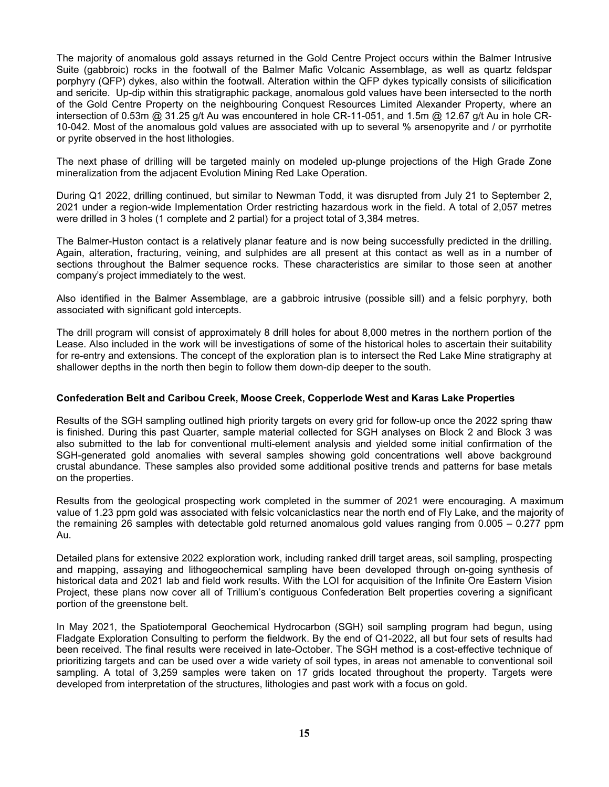The majority of anomalous gold assays returned in the Gold Centre Project occurs within the Balmer Intrusive Suite (gabbroic) rocks in the footwall of the Balmer Mafic Volcanic Assemblage, as well as quartz feldspar porphyry (QFP) dykes, also within the footwall. Alteration within the QFP dykes typically consists of silicification and sericite. Up-dip within this stratigraphic package, anomalous gold values have been intersected to the north of the Gold Centre Property on the neighbouring Conquest Resources Limited Alexander Property, where an intersection of 0.53m @ 31.25 g/t Au was encountered in hole CR-11-051, and 1.5m @ 12.67 g/t Au in hole CR-10-042. Most of the anomalous gold values are associated with up to several % arsenopyrite and / or pyrrhotite or pyrite observed in the host lithologies.

The next phase of drilling will be targeted mainly on modeled up-plunge projections of the High Grade Zone mineralization from the adjacent Evolution Mining Red Lake Operation.

During Q1 2022, drilling continued, but similar to Newman Todd, it was disrupted from July 21 to September 2, 2021 under a region-wide Implementation Order restricting hazardous work in the field. A total of 2,057 metres were drilled in 3 holes (1 complete and 2 partial) for a project total of 3,384 metres.

The Balmer-Huston contact is a relatively planar feature and is now being successfully predicted in the drilling. Again, alteration, fracturing, veining, and sulphides are all present at this contact as well as in a number of sections throughout the Balmer sequence rocks. These characteristics are similar to those seen at another company's project immediately to the west.

Also identified in the Balmer Assemblage, are a gabbroic intrusive (possible sill) and a felsic porphyry, both associated with significant gold intercepts.

The drill program will consist of approximately 8 drill holes for about 8,000 metres in the northern portion of the Lease. Also included in the work will be investigations of some of the historical holes to ascertain their suitability for re-entry and extensions. The concept of the exploration plan is to intersect the Red Lake Mine stratigraphy at shallower depths in the north then begin to follow them down-dip deeper to the south.

#### **Confederation Belt and Caribou Creek, Moose Creek, Copperlode West and Karas Lake Properties**

Results of the SGH sampling outlined high priority targets on every grid for follow-up once the 2022 spring thaw is finished. During this past Quarter, sample material collected for SGH analyses on Block 2 and Block 3 was also submitted to the lab for conventional multi-element analysis and yielded some initial confirmation of the SGH-generated gold anomalies with several samples showing gold concentrations well above background crustal abundance. These samples also provided some additional positive trends and patterns for base metals on the properties.

Results from the geological prospecting work completed in the summer of 2021 were encouraging. A maximum value of 1.23 ppm gold was associated with felsic volcaniclastics near the north end of Fly Lake, and the majority of the remaining 26 samples with detectable gold returned anomalous gold values ranging from 0.005 – 0.277 ppm Au.

Detailed plans for extensive 2022 exploration work, including ranked drill target areas, soil sampling, prospecting and mapping, assaying and lithogeochemical sampling have been developed through on-going synthesis of historical data and 2021 lab and field work results. With the LOI for acquisition of the Infinite Ore Eastern Vision Project, these plans now cover all of Trillium's contiguous Confederation Belt properties covering a significant portion of the greenstone belt.

In May 2021, the Spatiotemporal Geochemical Hydrocarbon (SGH) soil sampling program had begun, using Fladgate Exploration Consulting to perform the fieldwork. By the end of Q1-2022, all but four sets of results had been received. The final results were received in late-October. The SGH method is a cost-effective technique of prioritizing targets and can be used over a wide variety of soil types, in areas not amenable to conventional soil sampling. A total of 3,259 samples were taken on 17 grids located throughout the property. Targets were developed from interpretation of the structures, lithologies and past work with a focus on gold.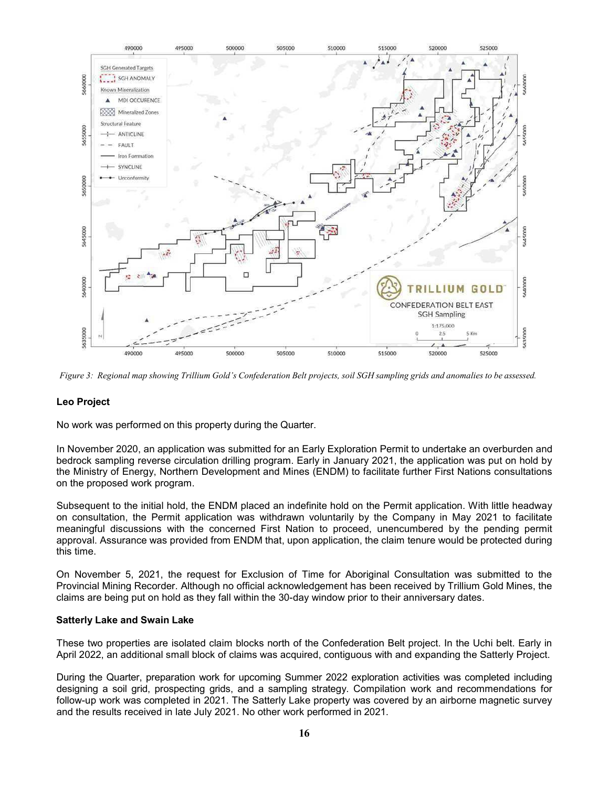

Figure 3: Regional map showing Trillium Gold's Confederation Belt projects, soil SGH sampling grids and anomalies to be assessed.

## **Leo Project**

No work was performed on this property during the Quarter.

In November 2020, an application was submitted for an Early Exploration Permit to undertake an overburden and bedrock sampling reverse circulation drilling program. Early in January 2021, the application was put on hold by the Ministry of Energy, Northern Development and Mines (ENDM) to facilitate further First Nations consultations on the proposed work program.

Subsequent to the initial hold, the ENDM placed an indefinite hold on the Permit application. With little headway on consultation, the Permit application was withdrawn voluntarily by the Company in May 2021 to facilitate meaningful discussions with the concerned First Nation to proceed, unencumbered by the pending permit approval. Assurance was provided from ENDM that, upon application, the claim tenure would be protected during this time.

On November 5, 2021, the request for Exclusion of Time for Aboriginal Consultation was submitted to the Provincial Mining Recorder. Although no official acknowledgement has been received by Trillium Gold Mines, the claims are being put on hold as they fall within the 30-day window prior to their anniversary dates.

#### **Satterly Lake and Swain Lake**

These two properties are isolated claim blocks north of the Confederation Belt project. In the Uchi belt. Early in April 2022, an additional small block of claims was acquired, contiguous with and expanding the Satterly Project.

During the Quarter, preparation work for upcoming Summer 2022 exploration activities was completed including designing a soil grid, prospecting grids, and a sampling strategy. Compilation work and recommendations for follow-up work was completed in 2021. The Satterly Lake property was covered by an airborne magnetic survey and the results received in late July 2021. No other work performed in 2021.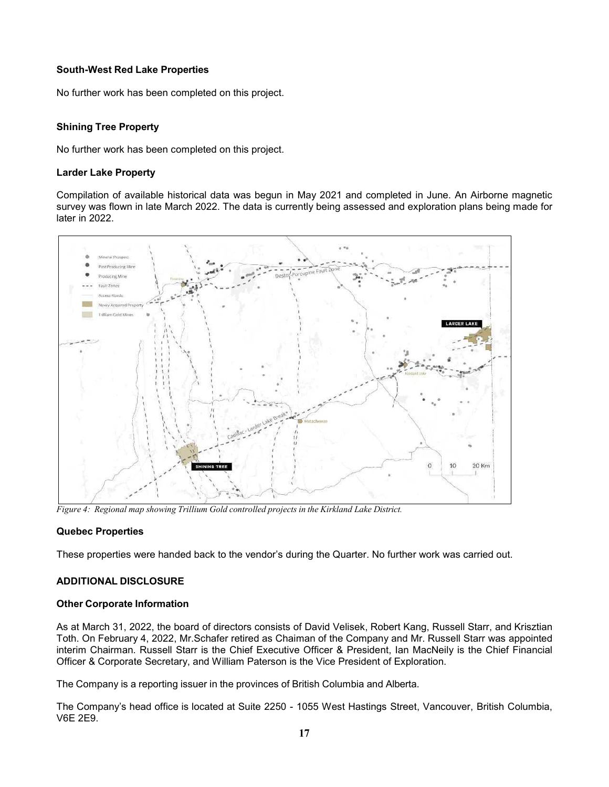## **South-West Red Lake Properties**

No further work has been completed on this project.

# **Shining Tree Property**

No further work has been completed on this project.

## **Larder Lake Property**

Compilation of available historical data was begun in May 2021 and completed in June. An Airborne magnetic survey was flown in late March 2022. The data is currently being assessed and exploration plans being made for later in 2022.



*Figure 4: Regional map showing Trillium Gold controlled projects in the Kirkland Lake District.*

## **Quebec Properties**

These properties were handed back to the vendor's during the Quarter. No further work was carried out.

## **ADDITIONAL DISCLOSURE**

## **Other Corporate Information**

As at March 31, 2022, the board of directors consists of David Velisek, Robert Kang, Russell Starr, and Krisztian Toth. On February 4, 2022, Mr.Schafer retired as Chaiman of the Company and Mr. Russell Starr was appointed interim Chairman. Russell Starr is the Chief Executive Officer & President, Ian MacNeily is the Chief Financial Officer & Corporate Secretary, and William Paterson is the Vice President of Exploration.

The Company is a reporting issuer in the provinces of British Columbia and Alberta.

The Company's head office is located at Suite 2250 - 1055 West Hastings Street, Vancouver, British Columbia, V6E 2E9.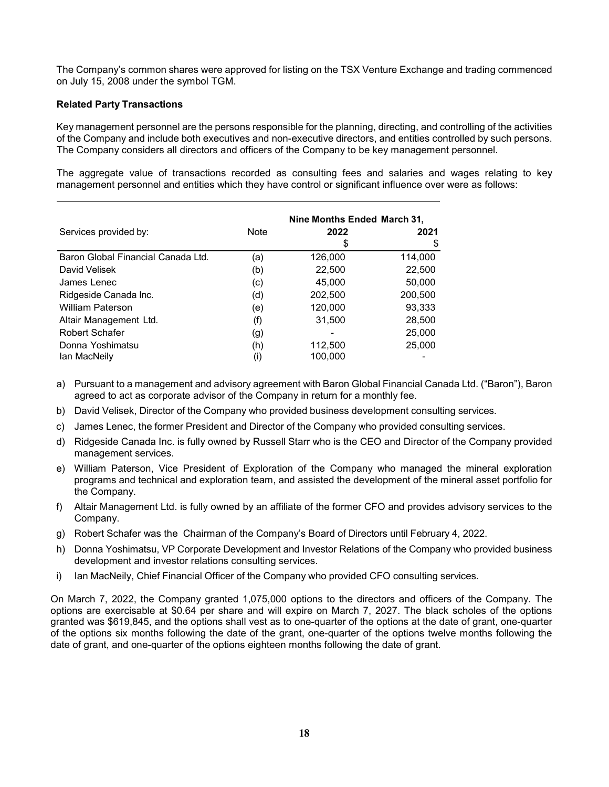The Company's common shares were approved for listing on the TSX Venture Exchange and trading commenced on July 15, 2008 under the symbol TGM.

## **Related Party Transactions**

Key management personnel are the persons responsible for the planning, directing, and controlling of the activities of the Company and include both executives and non-executive directors, and entities controlled by such persons. The Company considers all directors and officers of the Company to be key management personnel.

The aggregate value of transactions recorded as consulting fees and salaries and wages relating to key management personnel and entities which they have control or significant influence over were as follows:

|                                    |                   | Nine Months Ended March 31. |         |  |
|------------------------------------|-------------------|-----------------------------|---------|--|
| Services provided by:              | <b>Note</b>       | 2022                        | 2021    |  |
|                                    |                   | \$                          |         |  |
| Baron Global Financial Canada Ltd. | (a)               | 126,000                     | 114,000 |  |
| David Velisek                      | (b)               | 22,500                      | 22,500  |  |
| James Lenec                        | (c)               | 45,000                      | 50,000  |  |
| Ridgeside Canada Inc.              | (d)               | 202,500                     | 200,500 |  |
| William Paterson                   | (e)               | 120,000                     | 93,333  |  |
| Altair Management Ltd.             | (f)               | 31.500                      | 28,500  |  |
| Robert Schafer                     | (g)               |                             | 25,000  |  |
| Donna Yoshimatsu                   | (h)               | 112,500                     | 25,000  |  |
| Ian MacNeily                       | $\left( 1\right)$ | 100,000                     |         |  |

- a) Pursuant to a management and advisory agreement with Baron Global Financial Canada Ltd. ("Baron"), Baron agreed to act as corporate advisor of the Company in return for a monthly fee.
- b) David Velisek, Director of the Company who provided business development consulting services.
- c) James Lenec, the former President and Director of the Company who provided consulting services.
- d) Ridgeside Canada Inc. is fully owned by Russell Starr who is the CEO and Director of the Company provided management services.
- e) William Paterson, Vice President of Exploration of the Company who managed the mineral exploration programs and technical and exploration team, and assisted the development of the mineral asset portfolio for the Company.
- f) Altair Management Ltd. is fully owned by an affiliate of the former CFO and provides advisory services to the Company.
- g) Robert Schafer was the Chairman of the Company's Board of Directors until February 4, 2022.
- h) Donna Yoshimatsu, VP Corporate Development and Investor Relations of the Company who provided business development and investor relations consulting services.
- i) Ian MacNeily, Chief Financial Officer of the Company who provided CFO consulting services.

On March 7, 2022, the Company granted 1,075,000 options to the directors and officers of the Company. The options are exercisable at \$0.64 per share and will expire on March 7, 2027. The black scholes of the options granted was \$619,845, and the options shall vest as to one-quarter of the options at the date of grant, one-quarter of the options six months following the date of the grant, one-quarter of the options twelve months following the date of grant, and one-quarter of the options eighteen months following the date of grant.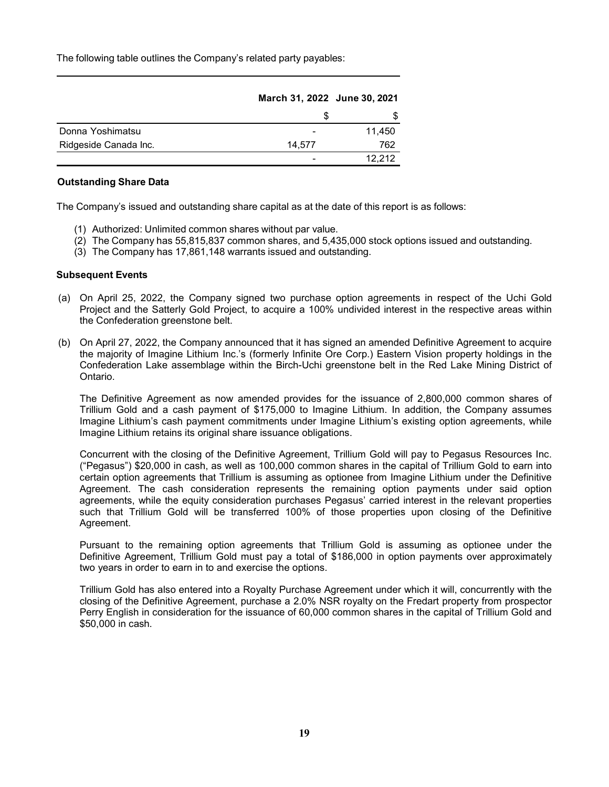The following table outlines the Company's related party payables:

|                       | March 31, 2022 June 30, 2021 |        |
|-----------------------|------------------------------|--------|
|                       |                              |        |
| Donna Yoshimatsu      |                              | 11,450 |
| Ridgeside Canada Inc. | 14.577                       | 762    |
|                       |                              | 12.212 |

#### **Outstanding Share Data**

The Company's issued and outstanding share capital as at the date of this report is as follows:

- (1) Authorized: Unlimited common shares without par value.
- (2) The Company has 55,815,837 common shares, and 5,435,000 stock options issued and outstanding.
- (3) The Company has 17,861,148 warrants issued and outstanding.

#### **Subsequent Events**

- (a) On April 25, 2022, the Company signed two purchase option agreements in respect of the Uchi Gold Project and the Satterly Gold Project, to acquire a 100% undivided interest in the respective areas within the Confederation greenstone belt.
- (b) On April 27, 2022, the Company announced that it has signed an amended Definitive Agreement to acquire the majority of Imagine Lithium Inc.'s (formerly Infinite Ore Corp.) Eastern Vision property holdings in the Confederation Lake assemblage within the Birch-Uchi greenstone belt in the Red Lake Mining District of Ontario.

The Definitive Agreement as now amended provides for the issuance of 2,800,000 common shares of Trillium Gold and a cash payment of \$175,000 to Imagine Lithium. In addition, the Company assumes Imagine Lithium's cash payment commitments under Imagine Lithium's existing option agreements, while Imagine Lithium retains its original share issuance obligations.

Concurrent with the closing of the Definitive Agreement, Trillium Gold will pay to Pegasus Resources Inc. ("Pegasus") \$20,000 in cash, as well as 100,000 common shares in the capital of Trillium Gold to earn into certain option agreements that Trillium is assuming as optionee from Imagine Lithium under the Definitive Agreement. The cash consideration represents the remaining option payments under said option agreements, while the equity consideration purchases Pegasus' carried interest in the relevant properties such that Trillium Gold will be transferred 100% of those properties upon closing of the Definitive Agreement.

Pursuant to the remaining option agreements that Trillium Gold is assuming as optionee under the Definitive Agreement, Trillium Gold must pay a total of \$186,000 in option payments over approximately two years in order to earn in to and exercise the options.

Trillium Gold has also entered into a Royalty Purchase Agreement under which it will, concurrently with the closing of the Definitive Agreement, purchase a 2.0% NSR royalty on the Fredart property from prospector Perry English in consideration for the issuance of 60,000 common shares in the capital of Trillium Gold and \$50,000 in cash.